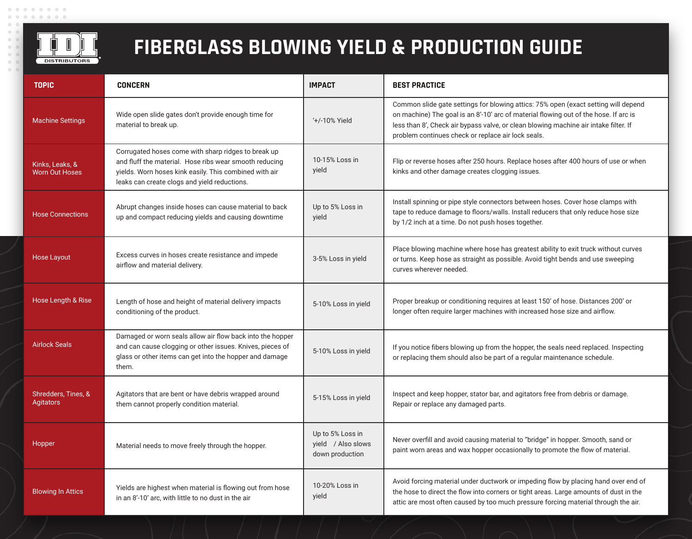

## **FIBERGLASS BLOWING YIELD & PRODUCTION GUIDE**

| <b>TOPIC</b>                             | <b>CONCERN</b>                                                                                                                                                                                                          | <b>IMPACT</b>                                             | <b>BEST PRACTICE</b>                                                                                                                                                                                                                                                                                                     |
|------------------------------------------|-------------------------------------------------------------------------------------------------------------------------------------------------------------------------------------------------------------------------|-----------------------------------------------------------|--------------------------------------------------------------------------------------------------------------------------------------------------------------------------------------------------------------------------------------------------------------------------------------------------------------------------|
| <b>Machine Settings</b>                  | Wide open slide gates don't provide enough time for<br>material to break up.                                                                                                                                            | '+/-10% Yield                                             | Common slide gate settings for blowing attics: 75% open (exact setting will depend<br>on machine) The goal is an 8'-10' arc of material flowing out of the hose. If arc is<br>less than 8', Check air bypass valve, or clean blowing machine air intake filter. If<br>problem continues check or replace air lock seals. |
| Kinks, Leaks, &<br><b>Worn Out Hoses</b> | Corrugated hoses come with sharp ridges to break up<br>and fluff the material. Hose ribs wear smooth reducing<br>yields. Worn hoses kink easily. This combined with air<br>leaks can create clogs and yield reductions. | 10-15% Loss in<br>yield                                   | Flip or reverse hoses after 250 hours. Replace hoses after 400 hours of use or when<br>kinks and other damage creates clogging issues.                                                                                                                                                                                   |
| <b>Hose Connections</b>                  | Abrupt changes inside hoses can cause material to back<br>up and compact reducing yields and causing downtime                                                                                                           | Up to 5% Loss in<br>yield                                 | Install spinning or pipe style connectors between hoses. Cover hose clamps with<br>tape to reduce damage to floors/walls. Install reducers that only reduce hose size<br>by 1/2 inch at a time. Do not push hoses together.                                                                                              |
| <b>Hose Layout</b>                       | Excess curves in hoses create resistance and impede<br>airflow and material delivery.                                                                                                                                   | 3-5% Loss in yield                                        | Place blowing machine where hose has greatest ability to exit truck without curves<br>or turns. Keep hose as straight as possible. Avoid tight bends and use sweeping<br>curves wherever needed.                                                                                                                         |
| Hose Length & Rise                       | Length of hose and height of material delivery impacts<br>conditioning of the product.                                                                                                                                  | 5-10% Loss in yield                                       | Proper breakup or conditioning requires at least 150' of hose. Distances 200' or<br>longer often require larger machines with increased hose size and airflow.                                                                                                                                                           |
| <b>Airlock Seals</b>                     | Damaged or worn seals allow air flow back into the hopper<br>and can cause clogging or other issues. Knives, pieces of<br>glass or other items can get into the hopper and damage<br>them.                              | 5-10% Loss in yield                                       | If you notice fibers blowing up from the hopper, the seals need replaced. Inspecting<br>or replacing them should also be part of a regular maintenance schedule.                                                                                                                                                         |
| Shredders, Tines, &<br>Agitators         | Agitators that are bent or have debris wrapped around<br>them cannot properly condition material.                                                                                                                       | 5-15% Loss in yield                                       | Inspect and keep hopper, stator bar, and agitators free from debris or damage.<br>Repair or replace any damaged parts.                                                                                                                                                                                                   |
| Hopper                                   | Material needs to move freely through the hopper.                                                                                                                                                                       | Up to 5% Loss in<br>yield / Also slows<br>down production | Never overfill and avoid causing material to "bridge" in hopper. Smooth, sand or<br>paint worn areas and wax hopper occasionally to promote the flow of material.                                                                                                                                                        |
| <b>Blowing In Attics</b>                 | Yields are highest when material is flowing out from hose<br>in an 8'-10' arc, with little to no dust in the air                                                                                                        | 10-20% Loss in<br>yield                                   | Avoid forcing material under ductwork or impeding flow by placing hand over end of<br>the hose to direct the flow into corners or tight areas. Large amounts of dust in the<br>attic are most often caused by too much pressure forcing material through the air.                                                        |